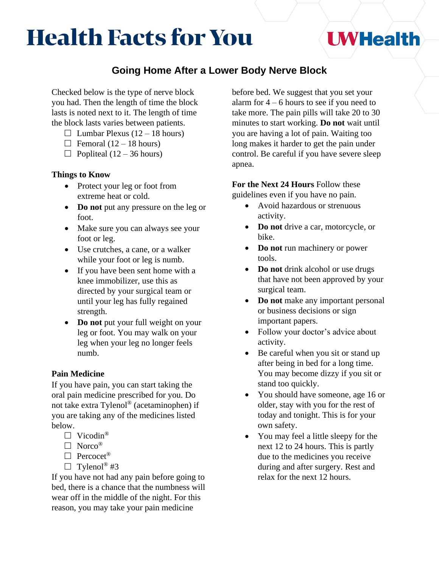# **Health Facts for You**

## **Going Home After a Lower Body Nerve Block**

Checked below is the type of nerve block you had. Then the length of time the block lasts is noted next to it. The length of time the block lasts varies between patients.

- $\Box$  Lumbar Plexus (12 18 hours)
- $\Box$  Femoral (12 18 hours)
- $\Box$  Popliteal (12 36 hours)

### **Things to Know**

- Protect your leg or foot from extreme heat or cold.
- **Do not** put any pressure on the leg or foot.
- Make sure you can always see your foot or leg.
- Use crutches, a cane, or a walker while your foot or leg is numb.
- If you have been sent home with a knee immobilizer, use this as directed by your surgical team or until your leg has fully regained strength.
- **Do not** put your full weight on your leg or foot. You may walk on your leg when your leg no longer feels numb.

## **Pain Medicine**

If you have pain, you can start taking the oral pain medicine prescribed for you. Do not take extra Tylenol® (acetaminophen) if you are taking any of the medicines listed below.

- $\Box$  Vicodin<sup>®</sup>
- $\Box$  Norco<sup>®</sup>
- $\Box$  Percocet<sup>®</sup>
- $\Box$  Tylenol<sup>®</sup> #3

If you have not had any pain before going to bed, there is a chance that the numbness will wear off in the middle of the night. For this reason, you may take your pain medicine

before bed. We suggest that you set your alarm for  $4 - 6$  hours to see if you need to take more. The pain pills will take 20 to 30 minutes to start working. **Do not** wait until you are having a lot of pain. Waiting too long makes it harder to get the pain under control. Be careful if you have severe sleep apnea.

**UWHealth** 

# **For the Next 24 Hours** Follow these

guidelines even if you have no pain.

- Avoid hazardous or strenuous activity.
- **Do not** drive a car, motorcycle, or bike.
- **Do not** run machinery or power tools.
- **Do not** drink alcohol or use drugs that have not been approved by your surgical team.
- **Do not** make any important personal or business decisions or sign important papers.
- Follow your doctor's advice about activity.
- Be careful when you sit or stand up after being in bed for a long time. You may become dizzy if you sit or stand too quickly.
- You should have someone, age 16 or older, stay with you for the rest of today and tonight. This is for your own safety.
- You may feel a little sleepy for the next 12 to 24 hours. This is partly due to the medicines you receive during and after surgery. Rest and relax for the next 12 hours.